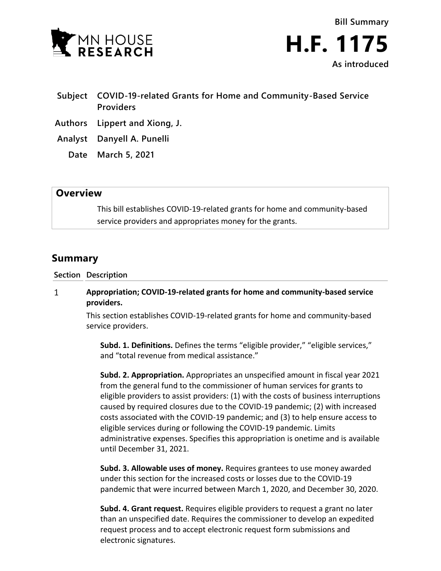



- **Subject COVID-19-related Grants for Home and Community-Based Service Providers**
- **Authors Lippert and Xiong, J.**
- **Analyst Danyell A. Punelli**
	- **Date March 5, 2021**

# **Overview**

This bill establishes COVID-19-related grants for home and community-based service providers and appropriates money for the grants.

# **Summary**

### **Section Description**

#### $\mathbf{1}$ **Appropriation; COVID-19-related grants for home and community-based service providers.**

This section establishes COVID-19-related grants for home and community-based service providers.

**Subd. 1. Definitions.** Defines the terms "eligible provider," "eligible services," and "total revenue from medical assistance."

**Subd. 2. Appropriation.** Appropriates an unspecified amount in fiscal year 2021 from the general fund to the commissioner of human services for grants to eligible providers to assist providers: (1) with the costs of business interruptions caused by required closures due to the COVID-19 pandemic; (2) with increased costs associated with the COVID-19 pandemic; and (3) to help ensure access to eligible services during or following the COVID-19 pandemic. Limits administrative expenses. Specifies this appropriation is onetime and is available until December 31, 2021.

**Subd. 3. Allowable uses of money.** Requires grantees to use money awarded under this section for the increased costs or losses due to the COVID-19 pandemic that were incurred between March 1, 2020, and December 30, 2020.

**Subd. 4. Grant request.** Requires eligible providers to request a grant no later than an unspecified date. Requires the commissioner to develop an expedited request process and to accept electronic request form submissions and electronic signatures.